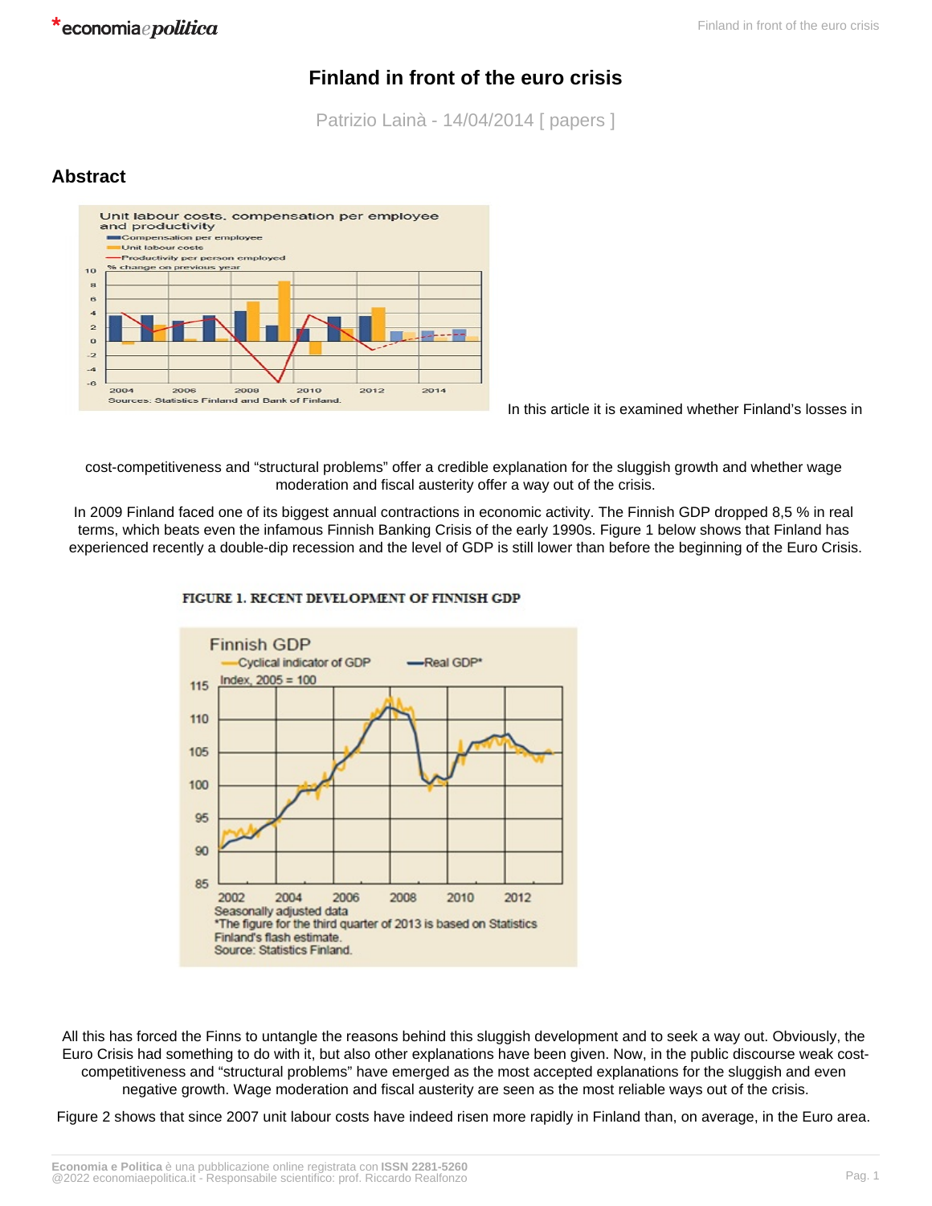\*economiaepolitica

# **Finland in front of the euro crisis**

Patrizio Lainà - 14/04/2014 [ papers ]

## **Abstract**



In this article it is examined whether Finland's losses in

cost-competitiveness and "structural problems" offer a credible explanation for the sluggish growth and whether wage moderation and fiscal austerity offer a way out of the crisis.

In 2009 Finland faced one of its biggest annual contractions in economic activity. The Finnish GDP dropped 8,5 % in real terms, which beats even the infamous Finnish Banking Crisis of the early 1990s. Figure 1 below shows that Finland has experienced recently a double-dip recession and the level of GDP is still lower than before the beginning of the Euro Crisis.



#### FIGURE 1. RECENT DEVELOPMENT OF FINNISH GDP

All this has forced the Finns to untangle the reasons behind this sluggish development and to seek a way out. Obviously, the Euro Crisis had something to do with it, but also other explanations have been given. Now, in the public discourse weak costcompetitiveness and "structural problems" have emerged as the most accepted explanations for the sluggish and even negative growth. Wage moderation and fiscal austerity are seen as the most reliable ways out of the crisis.

Figure 2 shows that since 2007 unit labour costs have indeed risen more rapidly in Finland than, on average, in the Euro area.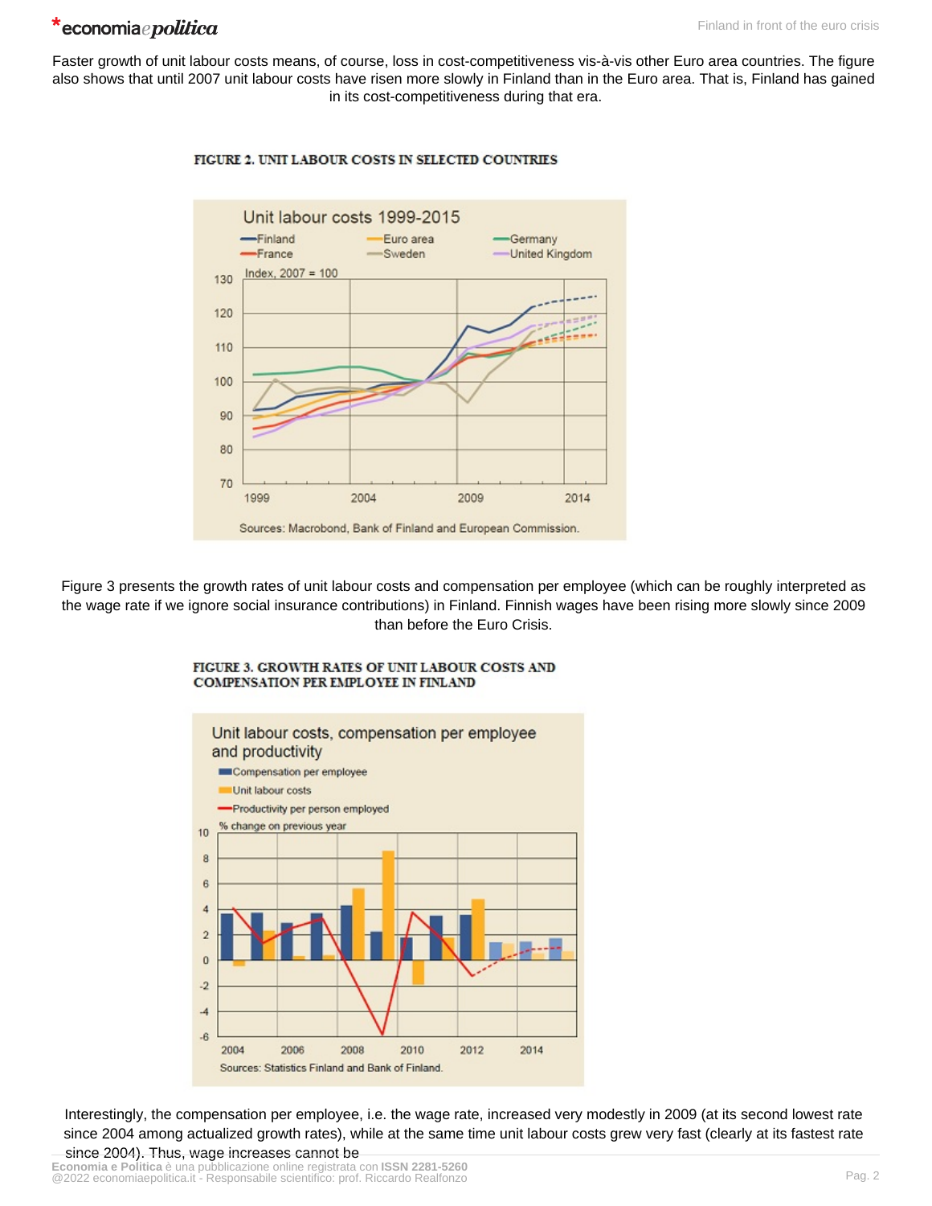## \*economiaepolitica

Faster growth of unit labour costs means, of course, loss in cost-competitiveness vis-à-vis other Euro area countries. The figure also shows that until 2007 unit labour costs have risen more slowly in Finland than in the Euro area. That is, Finland has gained in its cost-competitiveness during that era.



#### FIGURE 2. UNIT LABOUR COSTS IN SELECTED COUNTRIES

Figure 3 presents the growth rates of unit labour costs and compensation per employee (which can be roughly interpreted as the wage rate if we ignore social insurance contributions) in Finland. Finnish wages have been rising more slowly since 2009 than before the Euro Crisis.



FIGURE 3. GROWTH RATES OF UNIT LABOUR COSTS AND COMPENSATION PER EMPLOYEE IN FINLAND

Interestingly, the compensation per employee, i.e. the wage rate, increased very modestly in 2009 (at its second lowest rate since 2004 among actualized growth rates), while at the same time unit labour costs grew very fast (clearly at its fastest rate since 2004). Thus, wage increases cannot be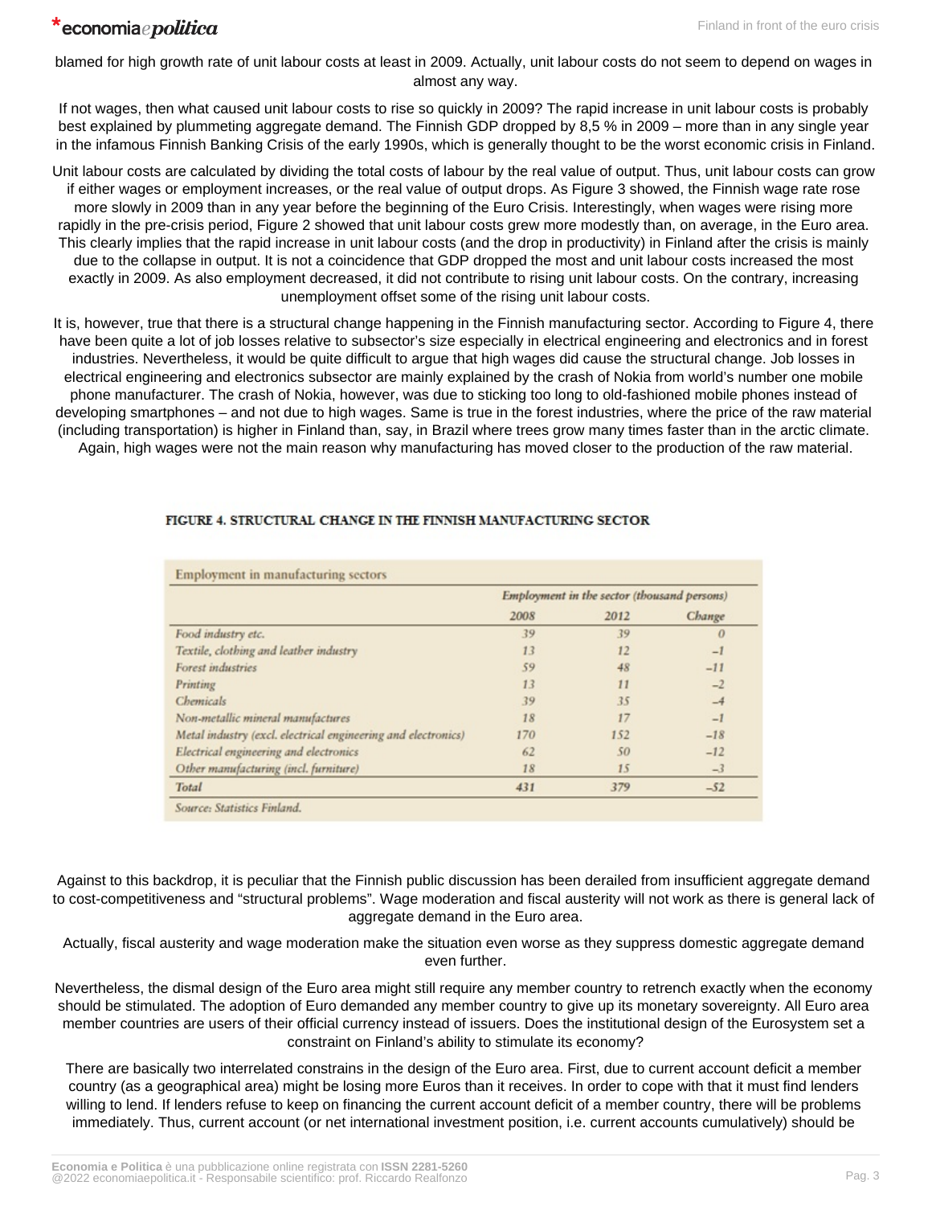blamed for high growth rate of unit labour costs at least in 2009. Actually, unit labour costs do not seem to depend on wages in almost any way.

If not wages, then what caused unit labour costs to rise so quickly in 2009? The rapid increase in unit labour costs is probably best explained by plummeting aggregate demand. The Finnish GDP dropped by 8,5 % in 2009 – more than in any single year in the infamous Finnish Banking Crisis of the early 1990s, which is generally thought to be the worst economic crisis in Finland.

Unit labour costs are calculated by dividing the total costs of labour by the real value of output. Thus, unit labour costs can grow if either wages or employment increases, or the real value of output drops. As Figure 3 showed, the Finnish wage rate rose more slowly in 2009 than in any year before the beginning of the Euro Crisis. Interestingly, when wages were rising more rapidly in the pre-crisis period, Figure 2 showed that unit labour costs grew more modestly than, on average, in the Euro area. This clearly implies that the rapid increase in unit labour costs (and the drop in productivity) in Finland after the crisis is mainly due to the collapse in output. It is not a coincidence that GDP dropped the most and unit labour costs increased the most exactly in 2009. As also employment decreased, it did not contribute to rising unit labour costs. On the contrary, increasing unemployment offset some of the rising unit labour costs.

It is, however, true that there is a structural change happening in the Finnish manufacturing sector. According to Figure 4, there have been quite a lot of job losses relative to subsector's size especially in electrical engineering and electronics and in forest industries. Nevertheless, it would be quite difficult to argue that high wages did cause the structural change. Job losses in electrical engineering and electronics subsector are mainly explained by the crash of Nokia from world's number one mobile phone manufacturer. The crash of Nokia, however, was due to sticking too long to old-fashioned mobile phones instead of developing smartphones – and not due to high wages. Same is true in the forest industries, where the price of the raw material (including transportation) is higher in Finland than, say, in Brazil where trees grow many times faster than in the arctic climate. Again, high wages were not the main reason why manufacturing has moved closer to the production of the raw material.

|                                                               | Employment in the sector (thousand persons) |      |          |
|---------------------------------------------------------------|---------------------------------------------|------|----------|
|                                                               | 2008                                        | 2012 | Change   |
| Food industry etc.                                            | 39                                          | 39   | $\theta$ |
| Textile, clothing and leather industry                        | 13                                          | 12   | $-1$     |
| Forest industries                                             | 59                                          | 48   | $-11$    |
| Printing                                                      | 13                                          | 11   | $-2$     |
| Chemicals                                                     | 39                                          | 35   | $-4$     |
| Non-metallic mineral manufactures                             | 18                                          | 17   | $-1$     |
| Metal industry (excl. electrical engineering and electronics) | 170                                         | 152  | $-18$    |
| Electrical engineering and electronics                        | 62                                          | 50   | $-12$    |
| Other manufacturing (incl. furniture)                         | 18                                          | 15   | $-3$     |
| Total                                                         | 431                                         | 379  | $-52$    |

### FIGURE 4. STRUCTURAL CHANGE IN THE FINNISH MANUFACTURING SECTOR

Against to this backdrop, it is peculiar that the Finnish public discussion has been derailed from insufficient aggregate demand to cost-competitiveness and "structural problems". Wage moderation and fiscal austerity will not work as there is general lack of aggregate demand in the Euro area.

Actually, fiscal austerity and wage moderation make the situation even worse as they suppress domestic aggregate demand even further.

Nevertheless, the dismal design of the Euro area might still require any member country to retrench exactly when the economy should be stimulated. The adoption of Euro demanded any member country to give up its monetary sovereignty. All Euro area member countries are users of their official currency instead of issuers. Does the institutional design of the Eurosystem set a constraint on Finland's ability to stimulate its economy?

There are basically two interrelated constrains in the design of the Euro area. First, due to current account deficit a member country (as a geographical area) might be losing more Euros than it receives. In order to cope with that it must find lenders willing to lend. If lenders refuse to keep on financing the current account deficit of a member country, there will be problems immediately. Thus, current account (or net international investment position, i.e. current accounts cumulatively) should be